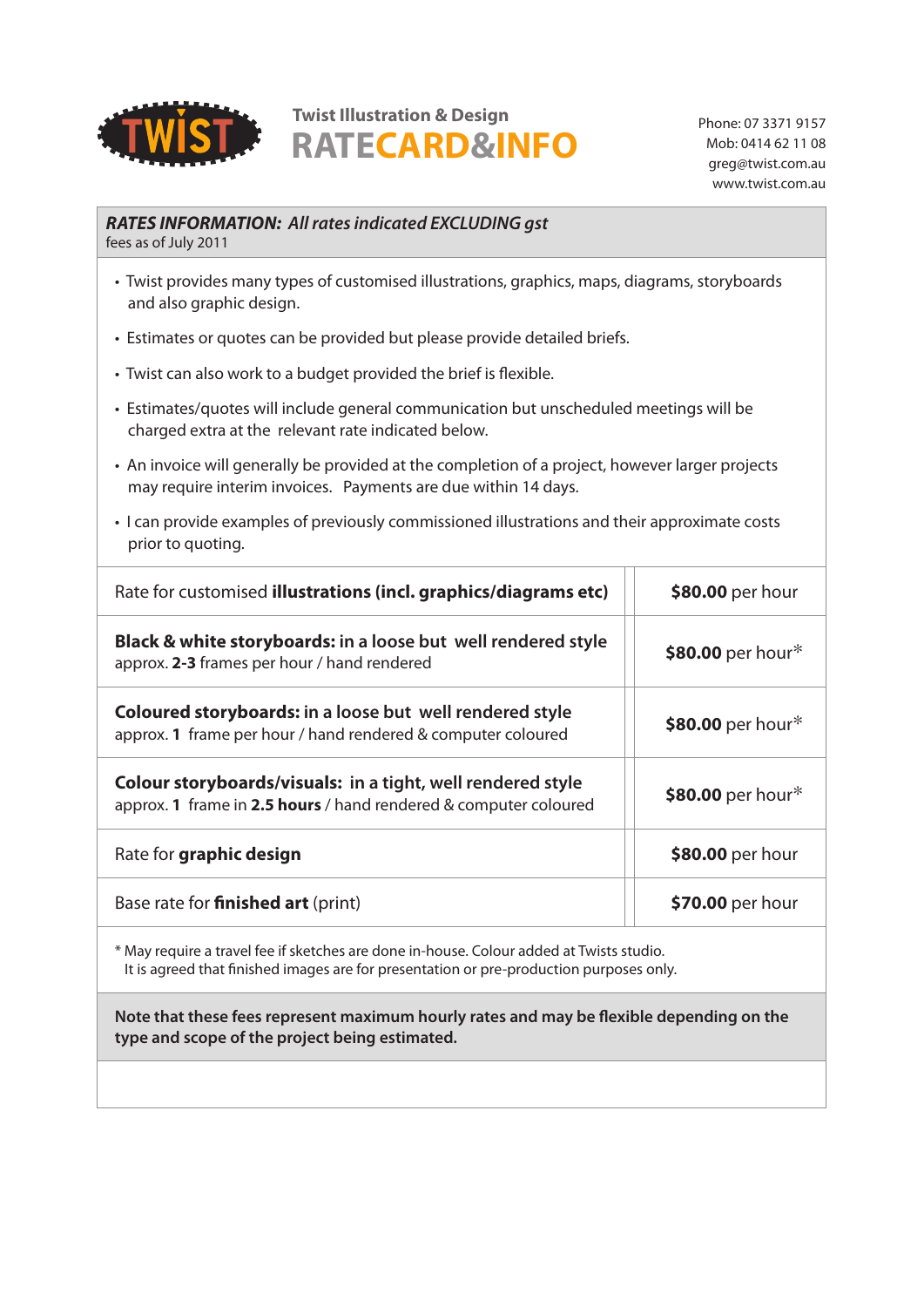

# **RATECARD&INFO Twist Illustration & Design** Phone: 07 3371 9157

Mob: 0414 62 11 08 greg@twist.com.au www.twist.com.au

# *RATES INFORMATION: All rates indicated EXCLUDING gst*

fees as of July 2011

- Twist provides many types of customised illustrations, graphics, maps, diagrams, storyboards and also graphic design.
- Estimates or quotes can be provided but please provide detailed briefs.
- Twist can also work to a budget provided the brief is flexible.
- Estimates/quotes will include general communication but unscheduled meetings will be charged extra at the relevant rate indicated below.
- An invoice will generally be provided at the completion of a project, however larger projects may require interim invoices. Payments are due within 14 days.
- I can provide examples of previously commissioned illustrations and their approximate costs prior to quoting.

| Rate for customised illustrations (incl. graphics/diagrams etc)                                                                 | \$80.00 per hour  |
|---------------------------------------------------------------------------------------------------------------------------------|-------------------|
| <b>Black &amp; white storyboards: in a loose but well rendered style</b><br>approx. 2-3 frames per hour / hand rendered         | \$80.00 per hour* |
| <b>Coloured storyboards: in a loose but well rendered style</b><br>approx. 1 frame per hour / hand rendered & computer coloured | \$80.00 per hour* |
| Colour storyboards/visuals: in a tight, well rendered style<br>approx. 1 frame in 2.5 hours / hand rendered & computer coloured | \$80.00 per hour* |
| Rate for graphic design                                                                                                         | \$80.00 per hour  |
| Base rate for <b>finished art</b> (print)                                                                                       | \$70.00 per hour  |

\* May require a travel fee if sketches are done in-house. Colour added at Twists studio. It is agreed that finished images are for presentation or pre-production purposes only.

**Note that these fees represent maximum hourly rates and may be flexible depending on the type and scope of the project being estimated.**